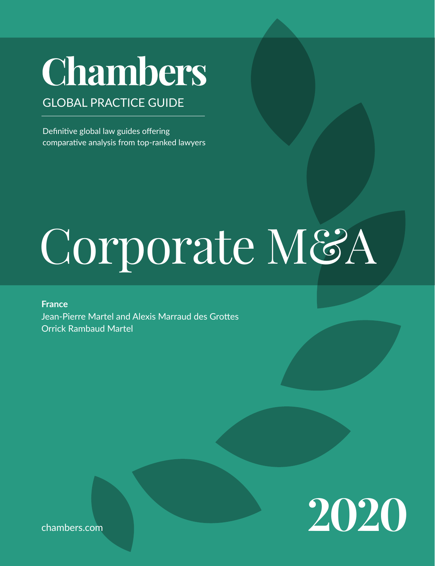# **Chambers**

# GLOBAL PRACTICE GUIDE

Definitive global law guides offering comparative analysis from top-ranked lawyers

# Corporate M&A

**France** Jean-Pierre Martel and Alexis Marraud des Grottes Orrick Rambaud Martel



chambers.com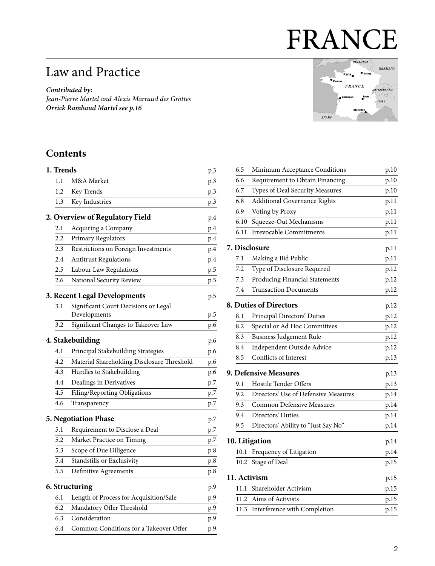# FRANCE

# Law and Practice

*Contributed by: Jean-Pierre Martel and Alexis Marraud des Grottes Orrick Rambaud Martel see p.16*

#### BELGIUM **GERMANY**  $Paris$  $\bullet$  Rei  $FRANCE$ **SWITZERLAND** Lyo **ITALY SPAIN**

# **Contents**

| 1. Trends |                                                      | p.3 |
|-----------|------------------------------------------------------|-----|
| $1.1\,$   | M&A Market                                           | p.3 |
| 1.2       | Key Trends                                           | p.3 |
| 1.3       | Key Industries                                       | p.3 |
|           | 2. Overview of Regulatory Field                      | p.4 |
| 2.1       | Acquiring a Company                                  | p.4 |
| 2.2       | Primary Regulators                                   | p.4 |
| 2.3       | Restrictions on Foreign Investments                  | p.4 |
| 2.4       | <b>Antitrust Regulations</b>                         | p.4 |
| 2.5       | Labour Law Regulations                               | p.5 |
| 2.6       | National Security Review                             | p.5 |
|           | 3. Recent Legal Developments                         | p.5 |
| 3.1       | Significant Court Decisions or Legal<br>Developments | p.5 |
| 3.2       | Significant Changes to Takeover Law                  | p.6 |
|           | 4. Stakebuilding                                     | p.6 |
| 4.1       | Principal Stakebuilding Strategies                   | p.6 |
| 4.2       | Material Shareholding Disclosure Threshold           | p.6 |
| 4.3       | Hurdles to Stakebuilding                             | p.6 |
| 4.4       | Dealings in Derivatives                              | p.7 |
| 4.5       | Filing/Reporting Obligations                         | p.7 |
| 4.6       | Transparency                                         | p.7 |
|           | 5. Negotiation Phase                                 | p.7 |
| 5.1       | Requirement to Disclose a Deal                       | p.7 |
| 5.2       | Market Practice on Timing                            | p.7 |
| 5.3       | Scope of Due Diligence                               | p.8 |
| 5.4       | Standstills or Exclusivity                           | p.8 |
| 5.5       | Definitive Agreements                                | p.8 |
|           | 6. Structuring                                       | p.9 |
| 6.1       | Length of Process for Acquisition/Sale               | p.9 |
| 6.2       | Mandatory Offer Threshold                            | p.9 |
| 6.3       | Consideration                                        | p.9 |
| 6.4       | Common Conditions for a Takeover Offer               | p.9 |

| 6.5  | Minimum Acceptance Conditions         | p.10                                                                                                              |
|------|---------------------------------------|-------------------------------------------------------------------------------------------------------------------|
| 6.6  | Requirement to Obtain Financing       | p.10                                                                                                              |
| 6.7  | Types of Deal Security Measures       | p.10                                                                                                              |
| 6.8  | <b>Additional Governance Rights</b>   | p.11                                                                                                              |
| 6.9  | Voting by Proxy                       | p.11                                                                                                              |
| 6.10 | Squeeze-Out Mechanisms                | p.11                                                                                                              |
| 6.11 | Irrevocable Commitments               | p.11                                                                                                              |
|      |                                       | p.11                                                                                                              |
| 7.1  | Making a Bid Public                   | p.11                                                                                                              |
| 7.2  | Type of Disclosure Required           | p.12                                                                                                              |
| 7.3  | <b>Producing Financial Statements</b> | p.12                                                                                                              |
| 7.4  | <b>Transaction Documents</b>          | p.12                                                                                                              |
|      |                                       | p.12                                                                                                              |
| 8.1  | Principal Directors' Duties           | p.12                                                                                                              |
| 8.2  | Special or Ad Hoc Committees          | p.12                                                                                                              |
| 8.3  | <b>Business Judgement Rule</b>        | p.12                                                                                                              |
| 8.4  | Independent Outside Advice            | p.12                                                                                                              |
| 8.5  | Conflicts of Interest                 | p.13                                                                                                              |
|      |                                       | p.13                                                                                                              |
| 9.1  | Hostile Tender Offers                 | p.13                                                                                                              |
| 9.2  | Directors' Use of Defensive Measures  | p.14                                                                                                              |
| 9.3  | <b>Common Defensive Measures</b>      | p.14                                                                                                              |
| 9.4  | Directors' Duties                     | p.14                                                                                                              |
| 9.5  | Directors' Ability to "Just Say No"   | p.14                                                                                                              |
|      |                                       | p.14                                                                                                              |
| 10.1 | Frequency of Litigation               | p.14                                                                                                              |
| 10.2 | Stage of Deal                         | p.15                                                                                                              |
|      |                                       | p.15                                                                                                              |
| 11.1 | Shareholder Activism                  | p.15                                                                                                              |
| 11.2 | Aims of Activists                     | p.15                                                                                                              |
|      | Interference with Completion          | p.15                                                                                                              |
|      |                                       | 7. Disclosure<br>8. Duties of Directors<br><b>9. Defensive Measures</b><br>10. Litigation<br>11. Activism<br>11.3 |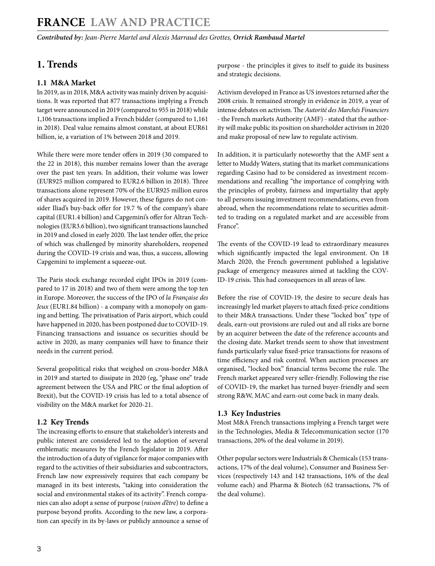*Contributed by: Jean-Pierre Martel and Alexis Marraud des Grottes, Orrick Rambaud Martel* 

### **1. Trends**

#### **1.1 M&A Market**

In 2019, as in 2018, M&A activity was mainly driven by acquisitions. It was reported that 877 transactions implying a French target were announced in 2019 (compared to 955 in 2018) while 1,106 transactions implied a French bidder (compared to 1,161 in 2018). Deal value remains almost constant, at about EUR61 billion, ie, a variation of 1% between 2018 and 2019.

While there were more tender offers in 2019 (30 compared to the 22 in 2018), this number remains lower than the average over the past ten years. In addition, their volume was lower (EUR925 million compared to EUR2.6 billion in 2018). Three transactions alone represent 70% of the EUR925 million euros of shares acquired in 2019. However, these figures do not consider Iliad's buy-back offer for 19.7 % of the company's share capital (EUR1.4 billion) and Capgemini's offer for Altran Technologies (EUR3.6 billion), two significant transactions launched in 2019 and closed in early 2020. The last tender offer, the price of which was challenged by minority shareholders, reopened during the COVID-19 crisis and was, thus, a success, allowing Capgemini to implement a squeeze-out.

The Paris stock exchange recorded eight IPOs in 2019 (compared to 17 in 2018) and two of them were among the top ten in Europe. Moreover, the success of the IPO of *la Française des Jeux* (EUR1.84 billion) - a company with a monopoly on gaming and betting. The privatisation of Paris airport, which could have happened in 2020, has been postponed due to COVID-19. Financing transactions and issuance os securities should be active in 2020, as many companies will have to finance their needs in the current period.

Several geopolitical risks that weighed on cross-border M&A in 2019 and started to dissipate in 2020 (eg, "phase one" trade agreement between the USA and PRC or the final adoption of Brexit), but the COVID-19 crisis has led to a total absence of visibility on the M&A market for 2020-21.

#### **1.2 Key Trends**

The increasing efforts to ensure that stakeholder's interests and public interest are considered led to the adoption of several emblematic measures by the French legislator in 2019. After the introduction of a duty of vigilance for major companies with regard to the activities of their subsidiaries and subcontractors, French law now expressively requires that each company be managed in its best interests, "taking into consideration the social and environmental stakes of its activity". French companies can also adopt a sense of purpose (*raison d'être*) to define a purpose beyond profits. According to the new law, a corporation can specify in its by-laws or publicly announce a sense of purpose - the principles it gives to itself to guide its business and strategic decisions.

Activism developed in France as US investors returned after the 2008 crisis. It remained strongly in evidence in 2019, a year of intense debates on activism. The *Autorité des Marchés Financiers* - the French markets Authority (AMF) - stated that the authority will make public its position on shareholder activism in 2020 and make proposal of new law to regulate activism.

In addition, it is particularly noteworthy that the AMF sent a letter to Muddy Waters, stating that its market communications regarding Casino had to be considered as investment recommendations and recalling "the importance of complying with the principles of probity, fairness and impartiality that apply to all persons issuing investment recommendations, even from abroad, when the recommendations relate to securities admitted to trading on a regulated market and are accessible from France".

The events of the COVID-19 lead to extraordinary measures which significantly impacted the legal environment. On 18 March 2020, the French government published a legislative package of emergency measures aimed at tackling the COV-ID-19 crisis. This had consequences in all areas of law.

Before the rise of COVID-19, the desire to secure deals has increasingly led market players to attach fixed-price conditions to their M&A transactions. Under these "locked box" type of deals, earn-out provisions are ruled out and all risks are borne by an acquirer between the date of the reference accounts and the closing date. Market trends seem to show that investment funds particularly value fixed-price transactions for reasons of time efficiency and risk control. When auction processes are organised, "locked box" financial terms become the rule. The French market appeared very seller-friendly. Following the rise of COVID-19, the market has turned buyer-friendly and seen strong R&W, MAC and earn-out come back in many deals.

#### **1.3 Key Industries**

Most M&A French transactions implying a French target were in the Technologies, Media & Telecommunication sector (170 transactions, 20% of the deal volume in 2019).

Other popular sectors were Industrials & Chemicals (153 transactions, 17% of the deal volume), Consumer and Business Services (respectively 143 and 142 transactions, 16% of the deal volume each) and Pharma & Biotech (62 transactions, 7% of the deal volume).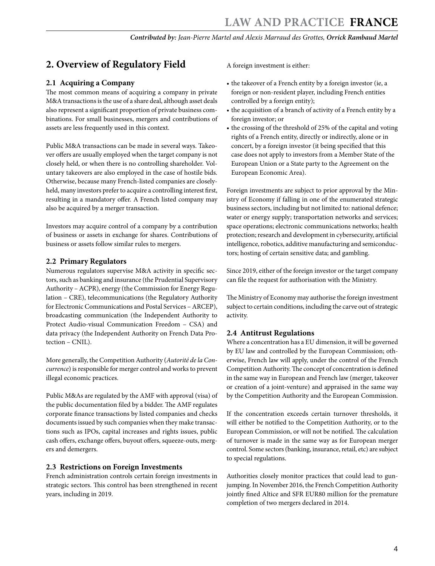# **2. Overview of Regulatory Field**

#### **2.1 Acquiring a Company**

The most common means of acquiring a company in private M&A transactions is the use of a share deal, although asset deals also represent a significant proportion of private business combinations. For small businesses, mergers and contributions of assets are less frequently used in this context.

Public M&A transactions can be made in several ways. Takeover offers are usually employed when the target company is not closely held, or when there is no controlling shareholder. Voluntary takeovers are also employed in the case of hostile bids. Otherwise, because many French-listed companies are closelyheld, many investors prefer to acquire a controlling interest first, resulting in a mandatory offer. A French listed company may also be acquired by a merger transaction.

Investors may acquire control of a company by a contribution of business or assets in exchange for shares. Contributions of business or assets follow similar rules to mergers.

#### **2.2 Primary Regulators**

Numerous regulators supervise M&A activity in specific sectors, such as banking and insurance (the Prudential Supervisory Authority – ACPR), energy (the Commission for Energy Regulation – CRE), telecommunications (the Regulatory Authority for Electronic Communications and Postal Services – ARCEP), broadcasting communication (the Independent Authority to Protect Audio-visual Communication Freedom – CSA) and data privacy (the Independent Authority on French Data Protection – CNIL).

More generally, the Competition Authority (*Autorité de la Concurrence*) is responsible for merger control and works to prevent illegal economic practices.

Public M&As are regulated by the AMF with approval (visa) of the public documentation filed by a bidder. The AMF regulates corporate finance transactions by listed companies and checks documents issued by such companies when they make transactions such as IPOs, capital increases and rights issues, public cash offers, exchange offers, buyout offers, squeeze-outs, mergers and demergers.

#### **2.3 Restrictions on Foreign Investments**

French administration controls certain foreign investments in strategic sectors. This control has been strengthened in recent years, including in 2019.

A foreign investment is either:

- the takeover of a French entity by a foreign investor (ie, a foreign or non-resident player, including French entities controlled by a foreign entity);
- the acquisition of a branch of activity of a French entity by a foreign investor; or
- the crossing of the threshold of 25% of the capital and voting rights of a French entity, directly or indirectly, alone or in concert, by a foreign investor (it being specified that this case does not apply to investors from a Member State of the European Union or a State party to the Agreement on the European Economic Area).

Foreign investments are subject to prior approval by the Ministry of Economy if falling in one of the enumerated strategic business sectors, including but not limited to: national defence; water or energy supply; transportation networks and services; space operations; electronic communications networks; health protection; research and development in cybersecurity, artificial intelligence, robotics, additive manufacturing and semiconductors; hosting of certain sensitive data; and gambling.

Since 2019, either of the foreign investor or the target company can file the request for authorisation with the Ministry.

The Ministry of Economy may authorise the foreign investment subject to certain conditions, including the carve out of strategic activity.

#### **2.4 Antitrust Regulations**

Where a concentration has a EU dimension, it will be governed by EU law and controlled by the European Commission; otherwise, French law will apply, under the control of the French Competition Authority. The concept of concentration is defined in the same way in European and French law (merger, takeover or creation of a joint-venture) and appraised in the same way by the Competition Authority and the European Commission.

If the concentration exceeds certain turnover thresholds, it will either be notified to the Competition Authority, or to the European Commission, or will not be notified. The calculation of turnover is made in the same way as for European merger control. Some sectors (banking, insurance, retail, etc) are subject to special regulations.

Authorities closely monitor practices that could lead to gunjumping. In November 2016, the French Competition Authority jointly fined Altice and SFR EUR80 million for the premature completion of two mergers declared in 2014.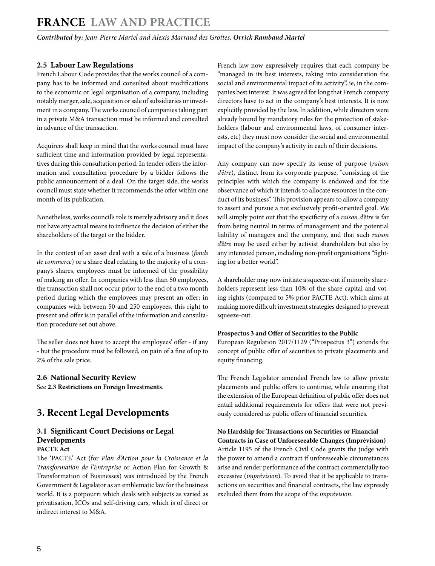*Contributed by: Jean-Pierre Martel and Alexis Marraud des Grottes, Orrick Rambaud Martel* 

#### **2.5 Labour Law Regulations**

French Labour Code provides that the works council of a company has to be informed and consulted about modifications to the economic or legal organisation of a company, including notably merger, sale, acquisition or sale of subsidiaries or investment in a company. The works council of companies taking part in a private M&A transaction must be informed and consulted in advance of the transaction.

Acquirers shall keep in mind that the works council must have sufficient time and information provided by legal representatives during this consultation period. In tender offers the information and consultation procedure by a bidder follows the public announcement of a deal. On the target side, the works council must state whether it recommends the offer within one month of its publication.

Nonetheless, works council's role is merely advisory and it does not have any actual means to influence the decision of either the shareholders of the target or the bidder.

In the context of an asset deal with a sale of a business (*fonds de commerce*) or a share deal relating to the majority of a company's shares, employees must be informed of the possibility of making an offer. In companies with less than 50 employees, the transaction shall not occur prior to the end of a two month period during which the employees may present an offer; in companies with between 50 and 250 employees, this right to present and offer is in parallel of the information and consultation procedure set out above.

The seller does not have to accept the employees' offer - if any - but the procedure must be followed, on pain of a fine of up to 2% of the sale price.

#### **2.6 National Security Review**

See **2.3 Restrictions on Foreign Investments**.

# **3. Recent Legal Developments**

#### **3.1 Significant Court Decisions or Legal Developments**

#### **PACTE Act**

The 'PACTE' Act (for *Plan d'Action pour la Croissance et la Transformation de l'Entreprise* or Action Plan for Growth & Transformation of Businesses) was introduced by the French Government & Legislator as an emblematic law for the business world. It is a potpourri which deals with subjects as varied as privatisation, ICOs and self-driving cars, which is of direct or indirect interest to M&A.

French law now expressively requires that each company be "managed in its best interests, taking into consideration the social and environmental impact of its activity", ie, in the companies best interest. It was agreed for long that French company directors have to act in the company's best interests. It is now explicitly provided by the law. In addition, while directors were already bound by mandatory rules for the protection of stakeholders (labour and environmental laws, of consumer interests, etc) they must now consider the social and environmental impact of the company's activity in each of their decisions.

Any company can now specify its sense of purpose (*raison d'être*), distinct from its corporate purpose, "consisting of the principles with which the company is endowed and for the observance of which it intends to allocate resources in the conduct of its business". This provision appears to allow a company to assert and pursue a not exclusively profit-oriented goal. We will simply point out that the specificity of a *raison d'être* is far from being neutral in terms of management and the potential liability of managers and the company, and that such *raison d'être* may be used either by activist shareholders but also by any interested person, including non-profit organisations "fighting for a better world".

A shareholder may now initiate a squeeze-out if minority shareholders represent less than 10% of the share capital and voting rights (compared to 5% prior PACTE Act), which aims at making more difficult investment strategies designed to prevent squeeze-out.

#### **Prospectus 3 and Offer of Securities to the Public**

European Regulation 2017/1129 ("Prospectus 3") extends the concept of public offer of securities to private placements and equity financing.

The French Legislator amended French law to allow private placements and public offers to continue, while ensuring that the extension of the European definition of public offer does not entail additional requirements for offers that were not previously considered as public offers of financial securities.

#### **No Hardship for Transactions on Securities or Financial Contracts in Case of Unforeseeable Changes (Imprévision)**

Article 1195 of the French Civil Code grants the judge with the power to amend a contract if unforeseeable circumstances arise and render performance of the contract commercially too excessive (*imprévision*). To avoid that it be applicable to transactions on securities and financial contracts, the law expressly excluded them from the scope of the *imprévision*.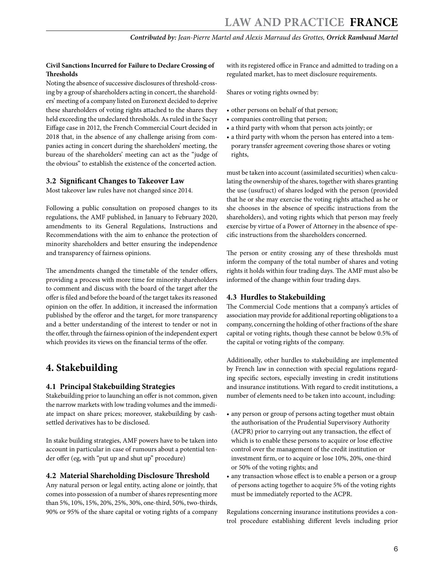#### **Civil Sanctions Incurred for Failure to Declare Crossing of Thresholds**

Noting the absence of successive disclosures of threshold-crossing by a group of shareholders acting in concert, the shareholders' meeting of a company listed on Euronext decided to deprive these shareholders of voting rights attached to the shares they held exceeding the undeclared thresholds. As ruled in the Sacyr Eiffage case in 2012, the French Commercial Court decided in 2018 that, in the absence of any challenge arising from companies acting in concert during the shareholders' meeting, the bureau of the shareholders' meeting can act as the "judge of the obvious" to establish the existence of the concerted action.

#### **3.2 Significant Changes to Takeover Law**

Most takeover law rules have not changed since 2014.

Following a public consultation on proposed changes to its regulations, the AMF published, in January to February 2020, amendments to its General Regulations, Instructions and Recommendations with the aim to enhance the protection of minority shareholders and better ensuring the independence and transparency of fairness opinions.

The amendments changed the timetable of the tender offers, providing a process with more time for minority shareholders to comment and discuss with the board of the target after the offer is filed and before the board of the target takes its reasoned opinion on the offer. In addition, it increased the information published by the offeror and the target, for more transparency and a better understanding of the interest to tender or not in the offer, through the fairness opinion of the independent expert which provides its views on the financial terms of the offer.

# **4. Stakebuilding**

#### **4.1 Principal Stakebuilding Strategies**

Stakebuilding prior to launching an offer is not common, given the narrow markets with low trading volumes and the immediate impact on share prices; moreover, stakebuilding by cashsettled derivatives has to be disclosed.

In stake building strategies, AMF powers have to be taken into account in particular in case of rumours about a potential tender offer (eg, with "put up and shut up" procedure)

#### **4.2 Material Shareholding Disclosure Threshold**

Any natural person or legal entity, acting alone or jointly, that comes into possession of a number of shares representing more than 5%, 10%, 15%, 20%, 25%, 30%, one-third, 50%, two-thirds, 90% or 95% of the share capital or voting rights of a company

with its registered office in France and admitted to trading on a regulated market, has to meet disclosure requirements.

Shares or voting rights owned by:

- other persons on behalf of that person;
- companies controlling that person;
- a third party with whom that person acts jointly; or
- a third party with whom the person has entered into a temporary transfer agreement covering those shares or voting rights,

must be taken into account (assimilated securities) when calculating the ownership of the shares, together with shares granting the use (usufruct) of shares lodged with the person (provided that he or she may exercise the voting rights attached as he or she chooses in the absence of specific instructions from the shareholders), and voting rights which that person may freely exercise by virtue of a Power of Attorney in the absence of specific instructions from the shareholders concerned.

The person or entity crossing any of these thresholds must inform the company of the total number of shares and voting rights it holds within four trading days. The AMF must also be informed of the change within four trading days.

#### **4.3 Hurdles to Stakebuilding**

The Commercial Code mentions that a company's articles of association may provide for additional reporting obligations to a company, concerning the holding of other fractions of the share capital or voting rights, though these cannot be below 0.5% of the capital or voting rights of the company.

Additionally, other hurdles to stakebuilding are implemented by French law in connection with special regulations regarding specific sectors, especially investing in credit institutions and insurance institutions. With regard to credit institutions, a number of elements need to be taken into account, including:

- any person or group of persons acting together must obtain the authorisation of the Prudential Supervisory Authority (ACPR) prior to carrying out any transaction, the effect of which is to enable these persons to acquire or lose effective control over the management of the credit institution or investment firm, or to acquire or lose 10%, 20%, one-third or 50% of the voting rights; and
- any transaction whose effect is to enable a person or a group of persons acting together to acquire 5% of the voting rights must be immediately reported to the ACPR.

Regulations concerning insurance institutions provides a control procedure establishing different levels including prior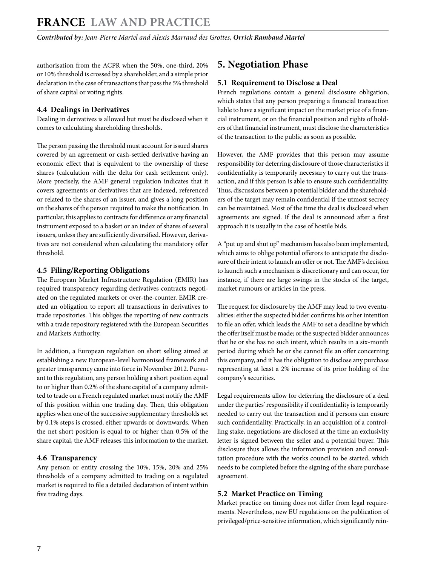authorisation from the ACPR when the 50%, one-third, 20% or 10% threshold is crossed by a shareholder, and a simple prior declaration in the case of transactions that pass the 5% threshold of share capital or voting rights.

#### **4.4 Dealings in Derivatives**

Dealing in derivatives is allowed but must be disclosed when it comes to calculating shareholding thresholds.

The person passing the threshold must account for issued shares covered by an agreement or cash-settled derivative having an economic effect that is equivalent to the ownership of these shares (calculation with the delta for cash settlement only). More precisely, the AMF general regulation indicates that it covers agreements or derivatives that are indexed, referenced or related to the shares of an issuer, and gives a long position on the shares of the person required to make the notification. In particular, this applies to contracts for difference or any financial instrument exposed to a basket or an index of shares of several issuers, unless they are sufficiently diversified. However, derivatives are not considered when calculating the mandatory offer threshold.

#### **4.5 Filing/Reporting Obligations**

The European Market Infrastructure Regulation (EMIR) has required transparency regarding derivatives contracts negotiated on the regulated markets or over-the-counter. EMIR created an obligation to report all transactions in derivatives to trade repositories. This obliges the reporting of new contracts with a trade repository registered with the European Securities and Markets Authority.

In addition, a European regulation on short selling aimed at establishing a new European-level harmonised framework and greater transparency came into force in November 2012. Pursuant to this regulation, any person holding a short position equal to or higher than 0.2% of the share capital of a company admitted to trade on a French regulated market must notify the AMF of this position within one trading day. Then, this obligation applies when one of the successive supplementary thresholds set by 0.1% steps is crossed, either upwards or downwards. When the net short position is equal to or higher than 0.5% of the share capital, the AMF releases this information to the market.

#### **4.6 Transparency**

Any person or entity crossing the 10%, 15%, 20% and 25% thresholds of a company admitted to trading on a regulated market is required to file a detailed declaration of intent within five trading days.

#### **5. Negotiation Phase**

#### **5.1 Requirement to Disclose a Deal**

French regulations contain a general disclosure obligation, which states that any person preparing a financial transaction liable to have a significant impact on the market price of a financial instrument, or on the financial position and rights of holders of that financial instrument, must disclose the characteristics of the transaction to the public as soon as possible.

However, the AMF provides that this person may assume responsibility for deferring disclosure of those characteristics if confidentiality is temporarily necessary to carry out the transaction, and if this person is able to ensure such confidentiality. Thus, discussions between a potential bidder and the shareholders of the target may remain confidential if the utmost secrecy can be maintained. Most of the time the deal is disclosed when agreements are signed. If the deal is announced after a first approach it is usually in the case of hostile bids.

A "put up and shut up" mechanism has also been implemented, which aims to oblige potential offerors to anticipate the disclosure of their intent to launch an offer or not. The AMF's decision to launch such a mechanism is discretionary and can occur, for instance, if there are large swings in the stocks of the target, market rumours or articles in the press.

The request for disclosure by the AMF may lead to two eventualities: either the suspected bidder confirms his or her intention to file an offer, which leads the AMF to set a deadline by which the offer itself must be made; or the suspected bidder announces that he or she has no such intent, which results in a six-month period during which he or she cannot file an offer concerning this company, and it has the obligation to disclose any purchase representing at least a 2% increase of its prior holding of the company's securities.

Legal requirements allow for deferring the disclosure of a deal under the parties' responsibility if confidentiality is temporarily needed to carry out the transaction and if persons can ensure such confidentiality. Practically, in an acquisition of a controlling stake, negotiations are disclosed at the time an exclusivity letter is signed between the seller and a potential buyer. This disclosure thus allows the information provision and consultation procedure with the works council to be started, which needs to be completed before the signing of the share purchase agreement.

#### **5.2 Market Practice on Timing**

Market practice on timing does not differ from legal requirements. Nevertheless, new EU regulations on the publication of privileged/price-sensitive information, which significantly rein-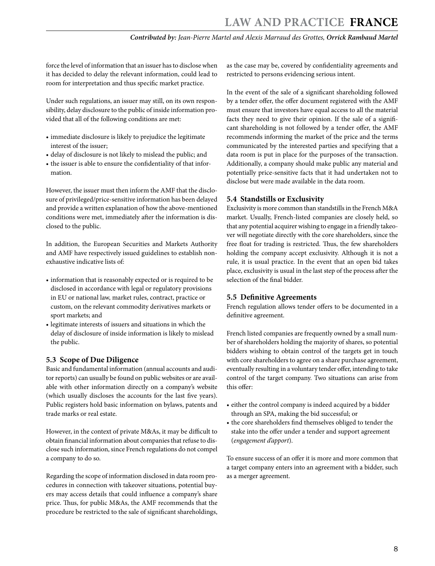force the level of information that an issuer has to disclose when it has decided to delay the relevant information, could lead to room for interpretation and thus specific market practice.

Under such regulations, an issuer may still, on its own responsibility, delay disclosure to the public of inside information provided that all of the following conditions are met:

- immediate disclosure is likely to prejudice the legitimate interest of the issuer;
- delay of disclosure is not likely to mislead the public; and
- the issuer is able to ensure the confidentiality of that information.

However, the issuer must then inform the AMF that the disclosure of privileged/price-sensitive information has been delayed and provide a written explanation of how the above-mentioned conditions were met, immediately after the information is disclosed to the public.

In addition, the European Securities and Markets Authority and AMF have respectively issued guidelines to establish nonexhaustive indicative lists of:

- information that is reasonably expected or is required to be disclosed in accordance with legal or regulatory provisions in EU or national law, market rules, contract, practice or custom, on the relevant commodity derivatives markets or sport markets; and
- legitimate interests of issuers and situations in which the delay of disclosure of inside information is likely to mislead the public.

#### **5.3 Scope of Due Diligence**

Basic and fundamental information (annual accounts and auditor reports) can usually be found on public websites or are available with other information directly on a company's website (which usually discloses the accounts for the last five years). Public registers hold basic information on bylaws, patents and trade marks or real estate.

However, in the context of private M&As, it may be difficult to obtain financial information about companies that refuse to disclose such information, since French regulations do not compel a company to do so.

Regarding the scope of information disclosed in data room procedures in connection with takeover situations, potential buyers may access details that could influence a company's share price. Thus, for public M&As, the AMF recommends that the procedure be restricted to the sale of significant shareholdings,

as the case may be, covered by confidentiality agreements and restricted to persons evidencing serious intent.

In the event of the sale of a significant shareholding followed by a tender offer, the offer document registered with the AMF must ensure that investors have equal access to all the material facts they need to give their opinion. If the sale of a significant shareholding is not followed by a tender offer, the AMF recommends informing the market of the price and the terms communicated by the interested parties and specifying that a data room is put in place for the purposes of the transaction. Additionally, a company should make public any material and potentially price-sensitive facts that it had undertaken not to disclose but were made available in the data room.

#### **5.4 Standstills or Exclusivity**

Exclusivity is more common than standstills in the French M&A market. Usually, French-listed companies are closely held, so that any potential acquirer wishing to engage in a friendly takeover will negotiate directly with the core shareholders, since the free float for trading is restricted. Thus, the few shareholders holding the company accept exclusivity. Although it is not a rule, it is usual practice. In the event that an open bid takes place, exclusivity is usual in the last step of the process after the selection of the final bidder.

#### **5.5 Definitive Agreements**

French regulation allows tender offers to be documented in a definitive agreement.

French listed companies are frequently owned by a small number of shareholders holding the majority of shares, so potential bidders wishing to obtain control of the targets get in touch with core shareholders to agree on a share purchase agreement, eventually resulting in a voluntary tender offer, intending to take control of the target company. Two situations can arise from this offer:

- either the control company is indeed acquired by a bidder through an SPA, making the bid successful; or
- the core shareholders find themselves obliged to tender the stake into the offer under a tender and support agreement (*engagement d'apport*).

To ensure success of an offer it is more and more common that a target company enters into an agreement with a bidder, such as a merger agreement.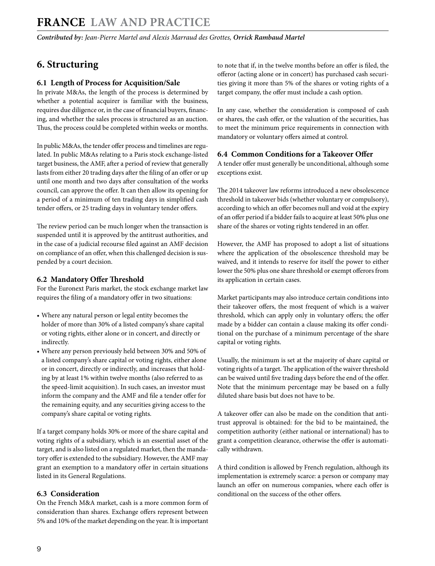# **6. Structuring**

#### **6.1 Length of Process for Acquisition/Sale**

In private M&As, the length of the process is determined by whether a potential acquirer is familiar with the business, requires due diligence or, in the case of financial buyers, financing, and whether the sales process is structured as an auction. Thus, the process could be completed within weeks or months.

In public M&As, the tender offer process and timelines are regulated. In public M&As relating to a Paris stock exchange-listed target business, the AMF, after a period of review that generally lasts from either 20 trading days after the filing of an offer or up until one month and two days after consultation of the works council, can approve the offer. It can then allow its opening for a period of a minimum of ten trading days in simplified cash tender offers, or 25 trading days in voluntary tender offers.

The review period can be much longer when the transaction is suspended until it is approved by the antitrust authorities, and in the case of a judicial recourse filed against an AMF decision on compliance of an offer, when this challenged decision is suspended by a court decision.

#### **6.2 Mandatory Offer Threshold**

For the Euronext Paris market, the stock exchange market law requires the filing of a mandatory offer in two situations:

- Where any natural person or legal entity becomes the holder of more than 30% of a listed company's share capital or voting rights, either alone or in concert, and directly or indirectly.
- Where any person previously held between 30% and 50% of a listed company's share capital or voting rights, either alone or in concert, directly or indirectly, and increases that holding by at least 1% within twelve months (also referred to as the speed-limit acquisition). In such cases, an investor must inform the company and the AMF and file a tender offer for the remaining equity, and any securities giving access to the company's share capital or voting rights.

If a target company holds 30% or more of the share capital and voting rights of a subsidiary, which is an essential asset of the target, and is also listed on a regulated market, then the mandatory offer is extended to the subsidiary. However, the AMF may grant an exemption to a mandatory offer in certain situations listed in its General Regulations.

#### **6.3 Consideration**

On the French M&A market, cash is a more common form of consideration than shares. Exchange offers represent between 5% and 10% of the market depending on the year. It is important to note that if, in the twelve months before an offer is filed, the offeror (acting alone or in concert) has purchased cash securities giving it more than 5% of the shares or voting rights of a target company, the offer must include a cash option.

In any case, whether the consideration is composed of cash or shares, the cash offer, or the valuation of the securities, has to meet the minimum price requirements in connection with mandatory or voluntary offers aimed at control.

#### **6.4 Common Conditions for a Takeover Offer**

A tender offer must generally be unconditional, although some exceptions exist.

The 2014 takeover law reforms introduced a new obsolescence threshold in takeover bids (whether voluntary or compulsory), according to which an offer becomes null and void at the expiry of an offer period if a bidder fails to acquire at least 50% plus one share of the shares or voting rights tendered in an offer.

However, the AMF has proposed to adopt a list of situations where the application of the obsolescence threshold may be waived, and it intends to reserve for itself the power to either lower the 50% plus one share threshold or exempt offerors from its application in certain cases.

Market participants may also introduce certain conditions into their takeover offers, the most frequent of which is a waiver threshold, which can apply only in voluntary offers; the offer made by a bidder can contain a clause making its offer conditional on the purchase of a minimum percentage of the share capital or voting rights.

Usually, the minimum is set at the majority of share capital or voting rights of a target. The application of the waiver threshold can be waived until five trading days before the end of the offer. Note that the minimum percentage may be based on a fully diluted share basis but does not have to be.

A takeover offer can also be made on the condition that antitrust approval is obtained: for the bid to be maintained, the competition authority (either national or international) has to grant a competition clearance, otherwise the offer is automatically withdrawn.

A third condition is allowed by French regulation, although its implementation is extremely scarce: a person or company may launch an offer on numerous companies, where each offer is conditional on the success of the other offers.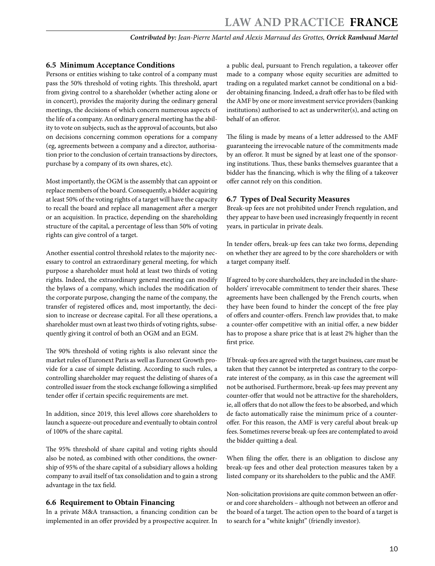#### **6.5 Minimum Acceptance Conditions**

Persons or entities wishing to take control of a company must pass the 50% threshold of voting rights. This threshold, apart from giving control to a shareholder (whether acting alone or in concert), provides the majority during the ordinary general meetings, the decisions of which concern numerous aspects of the life of a company. An ordinary general meeting has the ability to vote on subjects, such as the approval of accounts, but also on decisions concerning common operations for a company (eg, agreements between a company and a director, authorisation prior to the conclusion of certain transactions by directors, purchase by a company of its own shares, etc).

Most importantly, the OGM is the assembly that can appoint or replace members of the board. Consequently, a bidder acquiring at least 50% of the voting rights of a target will have the capacity to recall the board and replace all management after a merger or an acquisition. In practice, depending on the shareholding structure of the capital, a percentage of less than 50% of voting rights can give control of a target.

Another essential control threshold relates to the majority necessary to control an extraordinary general meeting, for which purpose a shareholder must hold at least two thirds of voting rights. Indeed, the extraordinary general meeting can modify the bylaws of a company, which includes the modification of the corporate purpose, changing the name of the company, the transfer of registered offices and, most importantly, the decision to increase or decrease capital. For all these operations, a shareholder must own at least two thirds of voting rights, subsequently giving it control of both an OGM and an EGM.

The 90% threshold of voting rights is also relevant since the market rules of Euronext Paris as well as Euronext Growth provide for a case of simple delisting. According to such rules, a controlling shareholder may request the delisting of shares of a controlled issuer from the stock exchange following a simplified tender offer if certain specific requirements are met.

In addition, since 2019, this level allows core shareholders to launch a squeeze-out procedure and eventually to obtain control of 100% of the share capital.

The 95% threshold of share capital and voting rights should also be noted, as combined with other conditions, the ownership of 95% of the share capital of a subsidiary allows a holding company to avail itself of tax consolidation and to gain a strong advantage in the tax field.

#### **6.6 Requirement to Obtain Financing**

In a private M&A transaction, a financing condition can be implemented in an offer provided by a prospective acquirer. In

a public deal, pursuant to French regulation, a takeover offer made to a company whose equity securities are admitted to trading on a regulated market cannot be conditional on a bidder obtaining financing. Indeed, a draft offer has to be filed with the AMF by one or more investment service providers (banking institutions) authorised to act as underwriter(s), and acting on behalf of an offeror.

The filing is made by means of a letter addressed to the AMF guaranteeing the irrevocable nature of the commitments made by an offeror. It must be signed by at least one of the sponsoring institutions. Thus, these banks themselves guarantee that a bidder has the financing, which is why the filing of a takeover offer cannot rely on this condition.

#### **6.7 Types of Deal Security Measures**

Break-up fees are not prohibited under French regulation, and they appear to have been used increasingly frequently in recent years, in particular in private deals.

In tender offers, break-up fees can take two forms, depending on whether they are agreed to by the core shareholders or with a target company itself.

If agreed to by core shareholders, they are included in the shareholders' irrevocable commitment to tender their shares. These agreements have been challenged by the French courts, when they have been found to hinder the concept of the free play of offers and counter-offers. French law provides that, to make a counter-offer competitive with an initial offer, a new bidder has to propose a share price that is at least 2% higher than the first price.

If break-up fees are agreed with the target business, care must be taken that they cannot be interpreted as contrary to the corporate interest of the company, as in this case the agreement will not be authorised. Furthermore, break-up fees may prevent any counter-offer that would not be attractive for the shareholders, ie, all offers that do not allow the fees to be absorbed, and which de facto automatically raise the minimum price of a counteroffer. For this reason, the AMF is very careful about break-up fees. Sometimes reverse break-up fees are contemplated to avoid the bidder quitting a deal.

When filing the offer, there is an obligation to disclose any break-up fees and other deal protection measures taken by a listed company or its shareholders to the public and the AMF.

Non-solicitation provisions are quite common between an offeror and core shareholders – although not between an offeror and the board of a target. The action open to the board of a target is to search for a "white knight" (friendly investor).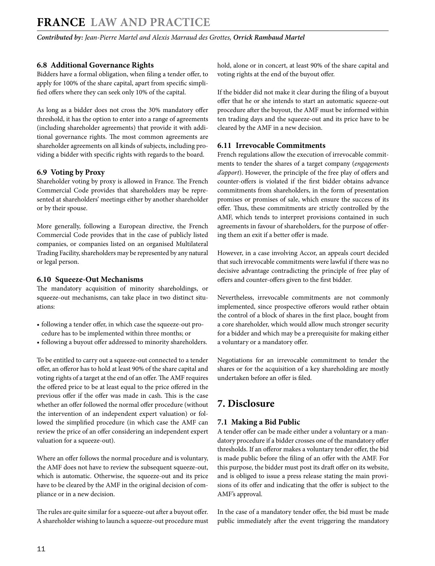*Contributed by: Jean-Pierre Martel and Alexis Marraud des Grottes, Orrick Rambaud Martel* 

#### **6.8 Additional Governance Rights**

Bidders have a formal obligation, when filing a tender offer, to apply for 100% of the share capital, apart from specific simplified offers where they can seek only 10% of the capital.

As long as a bidder does not cross the 30% mandatory offer threshold, it has the option to enter into a range of agreements (including shareholder agreements) that provide it with additional governance rights. The most common agreements are shareholder agreements on all kinds of subjects, including providing a bidder with specific rights with regards to the board.

#### **6.9 Voting by Proxy**

Shareholder voting by proxy is allowed in France. The French Commercial Code provides that shareholders may be represented at shareholders' meetings either by another shareholder or by their spouse.

More generally, following a European directive, the French Commercial Code provides that in the case of publicly listed companies, or companies listed on an organised Multilateral Trading Facility, shareholders may be represented by any natural or legal person.

#### **6.10 Squeeze-Out Mechanisms**

The mandatory acquisition of minority shareholdings, or squeeze-out mechanisms, can take place in two distinct situations:

- following a tender offer, in which case the squeeze-out procedure has to be implemented within three months; or
- following a buyout offer addressed to minority shareholders.

To be entitled to carry out a squeeze-out connected to a tender offer, an offeror has to hold at least 90% of the share capital and voting rights of a target at the end of an offer. The AMF requires the offered price to be at least equal to the price offered in the previous offer if the offer was made in cash. This is the case whether an offer followed the normal offer procedure (without the intervention of an independent expert valuation) or followed the simplified procedure (in which case the AMF can review the price of an offer considering an independent expert valuation for a squeeze-out).

Where an offer follows the normal procedure and is voluntary, the AMF does not have to review the subsequent squeeze-out, which is automatic. Otherwise, the squeeze-out and its price have to be cleared by the AMF in the original decision of compliance or in a new decision.

The rules are quite similar for a squeeze-out after a buyout offer. A shareholder wishing to launch a squeeze-out procedure must hold, alone or in concert, at least 90% of the share capital and voting rights at the end of the buyout offer.

If the bidder did not make it clear during the filing of a buyout offer that he or she intends to start an automatic squeeze-out procedure after the buyout, the AMF must be informed within ten trading days and the squeeze-out and its price have to be cleared by the AMF in a new decision.

#### **6.11 Irrevocable Commitments**

French regulations allow the execution of irrevocable commitments to tender the shares of a target company (*engagements d'apport*). However, the principle of the free play of offers and counter-offers is violated if the first bidder obtains advance commitments from shareholders, in the form of presentation promises or promises of sale, which ensure the success of its offer. Thus, these commitments are strictly controlled by the AMF, which tends to interpret provisions contained in such agreements in favour of shareholders, for the purpose of offering them an exit if a better offer is made.

However, in a case involving Accor, an appeals court decided that such irrevocable commitments were lawful if there was no decisive advantage contradicting the principle of free play of offers and counter-offers given to the first bidder.

Nevertheless, irrevocable commitments are not commonly implemented, since prospective offerors would rather obtain the control of a block of shares in the first place, bought from a core shareholder, which would allow much stronger security for a bidder and which may be a prerequisite for making either a voluntary or a mandatory offer.

Negotiations for an irrevocable commitment to tender the shares or for the acquisition of a key shareholding are mostly undertaken before an offer is filed.

# **7. Disclosure**

#### **7.1 Making a Bid Public**

A tender offer can be made either under a voluntary or a mandatory procedure if a bidder crosses one of the mandatory offer thresholds. If an offeror makes a voluntary tender offer, the bid is made public before the filing of an offer with the AMF. For this purpose, the bidder must post its draft offer on its website, and is obliged to issue a press release stating the main provisions of its offer and indicating that the offer is subject to the AMF's approval.

In the case of a mandatory tender offer, the bid must be made public immediately after the event triggering the mandatory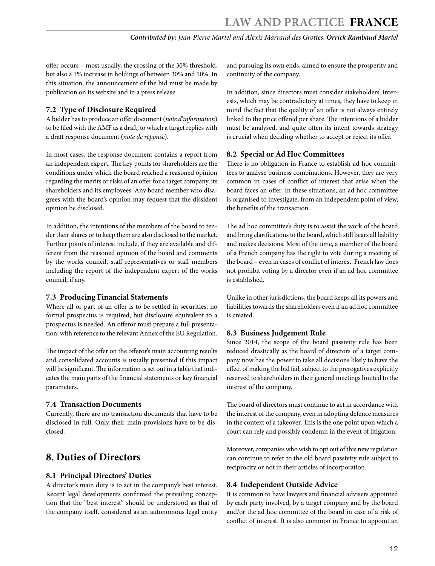offer occurs – most usually, the crossing of the 30% threshold, but also a 1% increase in holdings of between 30% and 50%. In this situation, the announcement of the bid must be made by publication on its website and in a press release.

#### **7.2 Type of Disclosure Required**

A bidder has to produce an offer document (*note d'information*) to be filed with the AMF as a draft, to which a target replies with a draft response document (*note de réponse*).

In most cases, the response document contains a report from an independent expert. The key points for shareholders are the conditions under which the board reached a reasoned opinion regarding the merits or risks of an offer for a target company, its shareholders and its employees. Any board member who disagrees with the board's opinion may request that the dissident opinion be disclosed.

In addition, the intentions of the members of the board to tender their shares or to keep them are also disclosed to the market. Further points of interest include, if they are available and different from the reasoned opinion of the board and comments by the works council, staff representatives or staff members including the report of the independent expert of the works council, if any.

#### **7.3 Producing Financial Statements**

Where all or part of an offer is to be settled in securities, no formal prospectus is required, but disclosure equivalent to a prospectus is needed. An offeror must prepare a full presentation, with reference to the relevant Annex of the EU Regulation.

The impact of the offer on the offeror's main accounting results and consolidated accounts is usually presented if this impact will be significant. The information is set out in a table that indicates the main parts of the financial statements or key financial parameters.

#### **7.4 Transaction Documents**

Currently, there are no transaction documents that have to be disclosed in full. Only their main provisions have to be disclosed.

# **8. Duties of Directors**

#### **8.1 Principal Directors' Duties**

A director's main duty is to act in the company's best interest. Recent legal developments confirmed the prevailing conception that the "best interest" should be understood as that of the company itself, considered as an autonomous legal entity

and pursuing its own ends, aimed to ensure the prosperity and continuity of the company.

In addition, since directors must consider stakeholders' interests, which may be contradictory at times, they have to keep in mind the fact that the quality of an offer is not always entirely linked to the price offered per share. The intentions of a bidder must be analysed, and quite often its intent towards strategy is crucial when deciding whether to accept or reject its offer.

#### **8.2 Special or Ad Hoc Committees**

There is no obligation in France to establish ad hoc committees to analyse business combinations. However, they are very common in cases of conflict of interest that arise when the board faces an offer. In these situations, an ad hoc committee is organised to investigate, from an independent point of view, the benefits of the transaction.

The ad hoc committee's duty is to assist the work of the board and bring clarifications to the board, which still bears all liability and makes decisions. Most of the time, a member of the board of a French company has the right to vote during a meeting of the board – even in cases of conflict of interest. French law does not prohibit voting by a director even if an ad hoc committee is established.

Unlike in other jurisdictions, the board keeps all its powers and liabilities towards the shareholders even if an ad hoc committee is created.

#### **8.3 Business Judgement Rule**

Since 2014, the scope of the board passivity rule has been reduced drastically as the board of directors of a target company now has the power to take all decisions likely to have the effect of making the bid fail, subject to the prerogatives explicitly reserved to shareholders in their general meetings limited to the interest of the company.

The board of directors must continue to act in accordance with the interest of the company, even in adopting defence measures in the context of a takeover. This is the one point upon which a court can rely and possibly condemn in the event of litigation.

Moreover, companies who wish to opt out of this new regulation can continue to refer to the old board passivity rule subject to reciprocity or not in their articles of incorporation.

#### **8.4 Independent Outside Advice**

It is common to have lawyers and financial advisers appointed by each party involved, by a target company and by the board and/or the ad hoc committee of the board in case of a risk of conflict of interest. It is also common in France to appoint an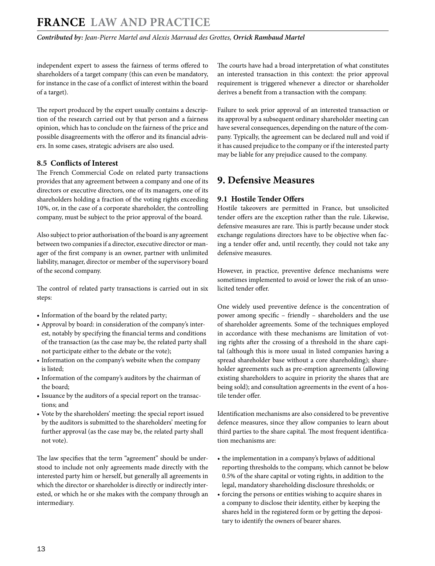independent expert to assess the fairness of terms offered to shareholders of a target company (this can even be mandatory, for instance in the case of a conflict of interest within the board of a target).

The report produced by the expert usually contains a description of the research carried out by that person and a fairness opinion, which has to conclude on the fairness of the price and possible disagreements with the offeror and its financial advisers. In some cases, strategic advisers are also used.

#### **8.5 Conflicts of Interest**

The French Commercial Code on related party transactions provides that any agreement between a company and one of its directors or executive directors, one of its managers, one of its shareholders holding a fraction of the voting rights exceeding 10%, or, in the case of a corporate shareholder, the controlling company, must be subject to the prior approval of the board.

Also subject to prior authorisation of the board is any agreement between two companies if a director, executive director or manager of the first company is an owner, partner with unlimited liability, manager, director or member of the supervisory board of the second company.

The control of related party transactions is carried out in six steps:

- Information of the board by the related party;
- Approval by board: in consideration of the company's interest, notably by specifying the financial terms and conditions of the transaction (as the case may be, the related party shall not participate either to the debate or the vote);
- Information on the company's website when the company is listed;
- Information of the company's auditors by the chairman of the board;
- Issuance by the auditors of a special report on the transactions; and
- Vote by the shareholders' meeting: the special report issued by the auditors is submitted to the shareholders' meeting for further approval (as the case may be, the related party shall not vote).

The law specifies that the term "agreement" should be understood to include not only agreements made directly with the interested party him or herself, but generally all agreements in which the director or shareholder is directly or indirectly interested, or which he or she makes with the company through an intermediary.

The courts have had a broad interpretation of what constitutes an interested transaction in this context: the prior approval requirement is triggered whenever a director or shareholder derives a benefit from a transaction with the company.

Failure to seek prior approval of an interested transaction or its approval by a subsequent ordinary shareholder meeting can have several consequences, depending on the nature of the company. Typically, the agreement can be declared null and void if it has caused prejudice to the company or if the interested party may be liable for any prejudice caused to the company.

# **9. Defensive Measures**

#### **9.1 Hostile Tender Offers**

Hostile takeovers are permitted in France, but unsolicited tender offers are the exception rather than the rule. Likewise, defensive measures are rare. This is partly because under stock exchange regulations directors have to be objective when facing a tender offer and, until recently, they could not take any defensive measures.

However, in practice, preventive defence mechanisms were sometimes implemented to avoid or lower the risk of an unsolicited tender offer.

One widely used preventive defence is the concentration of power among specific – friendly – shareholders and the use of shareholder agreements. Some of the techniques employed in accordance with these mechanisms are limitation of voting rights after the crossing of a threshold in the share capital (although this is more usual in listed companies having a spread shareholder base without a core shareholding); shareholder agreements such as pre-emption agreements (allowing existing shareholders to acquire in priority the shares that are being sold); and consultation agreements in the event of a hostile tender offer.

Identification mechanisms are also considered to be preventive defence measures, since they allow companies to learn about third parties to the share capital. The most frequent identification mechanisms are:

- the implementation in a company's bylaws of additional reporting thresholds to the company, which cannot be below 0.5% of the share capital or voting rights, in addition to the legal, mandatory shareholding disclosure thresholds; or
- forcing the persons or entities wishing to acquire shares in a company to disclose their identity, either by keeping the shares held in the registered form or by getting the depositary to identify the owners of bearer shares.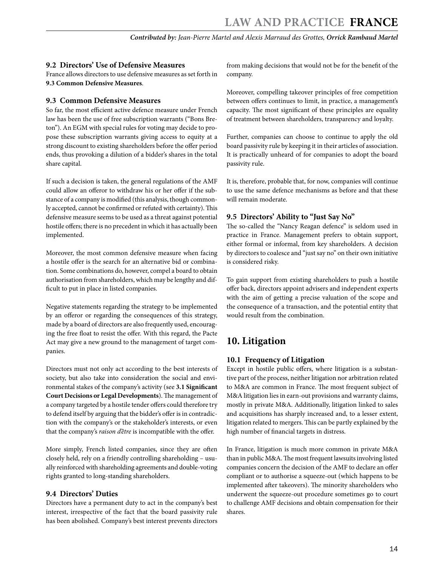#### **9.2 Directors' Use of Defensive Measures**

France allows directors to use defensive measures as set forth in **9.3 Common Defensive Measures**.

#### **9.3 Common Defensive Measures**

So far, the most efficient active defence measure under French law has been the use of free subscription warrants ("Bons Breton"). An EGM with special rules for voting may decide to propose these subscription warrants giving access to equity at a strong discount to existing shareholders before the offer period ends, thus provoking a dilution of a bidder's shares in the total share capital.

If such a decision is taken, the general regulations of the AMF could allow an offeror to withdraw his or her offer if the substance of a company is modified (this analysis, though commonly accepted, cannot be confirmed or refuted with certainty). This defensive measure seems to be used as a threat against potential hostile offers; there is no precedent in which it has actually been implemented.

Moreover, the most common defensive measure when facing a hostile offer is the search for an alternative bid or combination. Some combinations do, however, compel a board to obtain authorisation from shareholders, which may be lengthy and difficult to put in place in listed companies.

Negative statements regarding the strategy to be implemented by an offeror or regarding the consequences of this strategy, made by a board of directors are also frequently used, encouraging the free float to resist the offer. With this regard, the Pacte Act may give a new ground to the management of target companies.

Directors must not only act according to the best interests of society, but also take into consideration the social and environmental stakes of the company's activity (see **3.1 Significant Court Decisions or Legal Developments**). The management of a company targeted by a hostile tender offers could therefore try to defend itself by arguing that the bidder's offer is in contradiction with the company's or the stakeholder's interests, or even that the company's *raison d'être* is incompatible with the offer.

More simply, French listed companies, since they are often closely held, rely on a friendly controlling shareholding – usually reinforced with shareholding agreements and double-voting rights granted to long-standing shareholders.

#### **9.4 Directors' Duties**

Directors have a permanent duty to act in the company's best interest, irrespective of the fact that the board passivity rule has been abolished. Company's best interest prevents directors

from making decisions that would not be for the benefit of the company.

Moreover, compelling takeover principles of free competition between offers continues to limit, in practice, a management's capacity. The most significant of these principles are equality of treatment between shareholders, transparency and loyalty.

Further, companies can choose to continue to apply the old board passivity rule by keeping it in their articles of association. It is practically unheard of for companies to adopt the board passivity rule.

It is, therefore, probable that, for now, companies will continue to use the same defence mechanisms as before and that these will remain moderate.

#### **9.5 Directors' Ability to "Just Say No"**

The so-called the "Nancy Reagan defence" is seldom used in practice in France. Management prefers to obtain support, either formal or informal, from key shareholders. A decision by directors to coalesce and "just say no" on their own initiative is considered risky.

To gain support from existing shareholders to push a hostile offer back, directors appoint advisers and independent experts with the aim of getting a precise valuation of the scope and the consequence of a transaction, and the potential entity that would result from the combination.

# **10. Litigation**

#### **10.1 Frequency of Litigation**

Except in hostile public offers, where litigation is a substantive part of the process, neither litigation nor arbitration related to M&A are common in France. The most frequent subject of M&A litigation lies in earn-out provisions and warranty claims, mostly in private M&A. Additionally, litigation linked to sales and acquisitions has sharply increased and, to a lesser extent, litigation related to mergers. This can be partly explained by the high number of financial targets in distress.

In France, litigation is much more common in private M&A than in public M&A. The most frequent lawsuits involving listed companies concern the decision of the AMF to declare an offer compliant or to authorise a squeeze-out (which happens to be implemented after takeovers). The minority shareholders who underwent the squeeze-out procedure sometimes go to court to challenge AMF decisions and obtain compensation for their shares.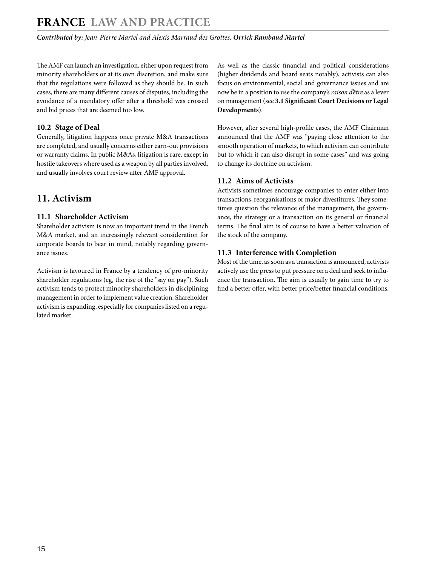*Contributed by: Jean-Pierre Martel and Alexis Marraud des Grottes, Orrick Rambaud Martel* 

The AMF can launch an investigation, either upon request from minority shareholders or at its own discretion, and make sure that the regulations were followed as they should be. In such cases, there are many different causes of disputes, including the avoidance of a mandatory offer after a threshold was crossed and bid prices that are deemed too low.

#### **10.2 Stage of Deal**

Generally, litigation happens once private M&A transactions are completed, and usually concerns either earn-out provisions or warranty claims. In public M&As, litigation is rare, except in hostile takeovers where used as a weapon by all parties involved, and usually involves court review after AMF approval.

# **11. Activism**

#### **11.1 Shareholder Activism**

Shareholder activism is now an important trend in the French M&A market, and an increasingly relevant consideration for corporate boards to bear in mind, notably regarding governance issues.

Activism is favoured in France by a tendency of pro-minority shareholder regulations (eg, the rise of the "say on pay"). Such activism tends to protect minority shareholders in disciplining management in order to implement value creation. Shareholder activism is expanding, especially for companies listed on a regulated market.

As well as the classic financial and political considerations (higher dividends and board seats notably), activists can also focus on environmental, social and governance issues and are now be in a position to use the company's *raison d'être* as a lever on management (see **3.1 Significant Court Decisions or Legal Developments**).

However, after several high-profile cases, the AMF Chairman announced that the AMF was "paying close attention to the smooth operation of markets, to which activism can contribute but to which it can also disrupt in some cases" and was going to change its doctrine on activism.

#### **11.2 Aims of Activists**

Activists sometimes encourage companies to enter either into transactions, reorganisations or major divestitures. They sometimes question the relevance of the management, the governance, the strategy or a transaction on its general or financial terms. The final aim is of course to have a better valuation of the stock of the company.

#### **11.3 Interference with Completion**

Most of the time, as soon as a transaction is announced, activists actively use the press to put pressure on a deal and seek to influence the transaction. The aim is usually to gain time to try to find a better offer, with better price/better financial conditions.